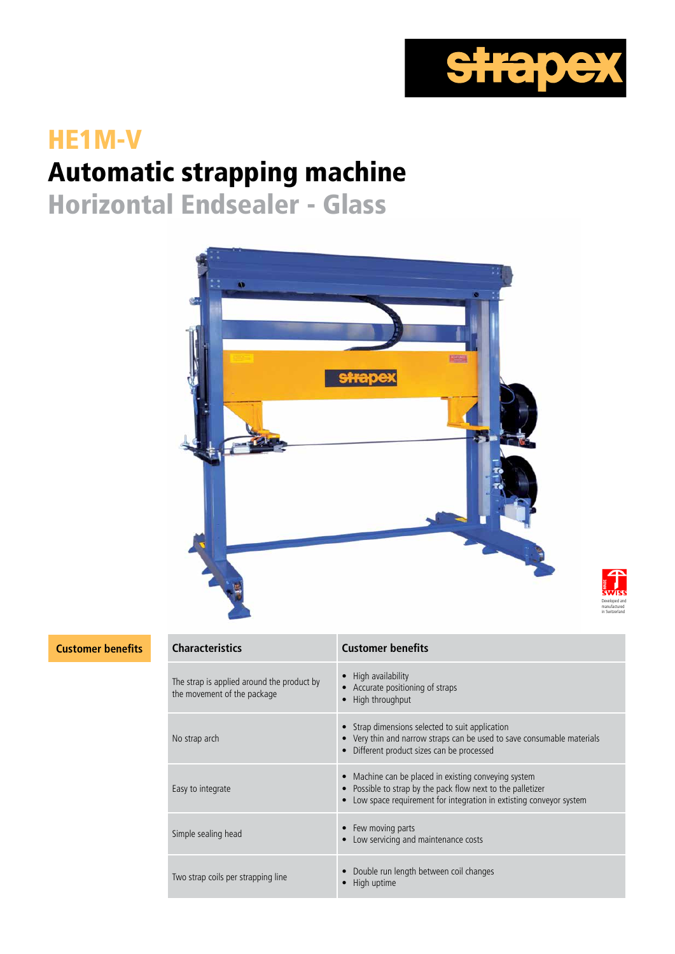

Developed and manufactured in Switzerland

# HE1M-V Automatic strapping machine

Horizontal Endsealer - Glass



**Customer benefits Characteristics Customer benefits**

| <b>Characteristics</b>                                                    | <b>Customer benefits</b>                                                                                                                                                              |
|---------------------------------------------------------------------------|---------------------------------------------------------------------------------------------------------------------------------------------------------------------------------------|
| The strap is applied around the product by<br>the movement of the package | High availability<br>• Accurate positioning of straps<br>High throughput                                                                                                              |
| No strap arch                                                             | • Strap dimensions selected to suit application<br>• Very thin and narrow straps can be used to save consumable materials<br>Different product sizes can be processed                 |
| Easy to integrate                                                         | Machine can be placed in existing conveying system<br>Possible to strap by the pack flow next to the palletizer<br>Low space requirement for integration in extisting conveyor system |
| Simple sealing head                                                       | • Few moving parts<br>Low servicing and maintenance costs                                                                                                                             |
| Two strap coils per strapping line                                        | Double run length between coil changes<br>High uptime                                                                                                                                 |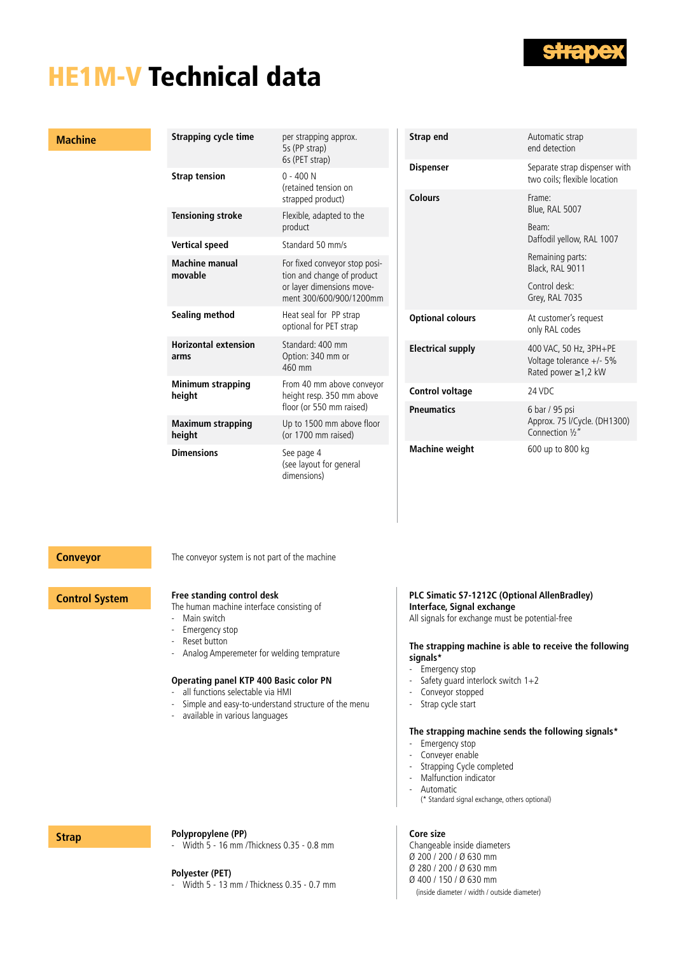

## HE1M-V Technical data

#### **Machine**

| <b>Strapping cycle time</b>         | per strapping approx.<br>5s (PP strap)<br>6s (PET strap)                                                            | Strap end                |
|-------------------------------------|---------------------------------------------------------------------------------------------------------------------|--------------------------|
| <b>Strap tension</b>                | $0 - 400N$<br>(retained tension on                                                                                  | <b>Dispenser</b>         |
|                                     | strapped product)                                                                                                   | <b>Colours</b>           |
| <b>Tensioning stroke</b>            | Flexible, adapted to the<br>product                                                                                 |                          |
| <b>Vertical speed</b>               | Standard 50 mm/s                                                                                                    |                          |
| <b>Machine manual</b><br>movable    | For fixed conveyor stop posi-<br>tion and change of product<br>or layer dimensions move-<br>ment 300/600/900/1200mm |                          |
| Sealing method                      | Heat seal for PP strap<br>optional for PET strap                                                                    | <b>Optional colours</b>  |
| <b>Horizontal extension</b><br>arms | Standard: 400 mm<br>Option: 340 mm or<br>460 mm                                                                     | <b>Electrical supply</b> |
| <b>Minimum strapping</b><br>height  | From 40 mm above conveyor<br>height resp. 350 mm above                                                              | <b>Control voltage</b>   |
|                                     | floor (or 550 mm raised)                                                                                            | <b>Pneumatics</b>        |
| <b>Maximum strapping</b><br>height  | Up to 1500 mm above floor<br>(or 1700 mm raised)                                                                    |                          |
| <b>Dimensions</b>                   | See page 4<br>(see layout for general<br>dimensions)                                                                | <b>Machine weight</b>    |

| Strap end                | Automatic strap<br>end detection                                                  |
|--------------------------|-----------------------------------------------------------------------------------|
| <b>Dispenser</b>         | Separate strap dispenser with<br>two coils; flexible location                     |
| <b>Colours</b>           | Frame:<br>Blue, RAL 5007                                                          |
|                          | Beam:<br>Daffodil yellow, RAL 1007                                                |
|                          | Remaining parts:<br>Black, RAL 9011                                               |
|                          | Control desk:<br>Grey, RAL 7035                                                   |
| <b>Optional colours</b>  | At customer's request<br>only RAL codes                                           |
| <b>Electrical supply</b> | 400 VAC, 50 Hz, 3PH+PE<br>Voltage tolerance $+/-$ 5%<br>Rated power $\geq$ 1,2 kW |
| <b>Control voltage</b>   | 24 VDC                                                                            |
| <b>Pneumatics</b>        | 6 bar / 95 psi<br>Approx. 75 l/Cycle. (DH1300)<br>Connection 1/2"                 |
| <b>Machine weight</b>    | 600 up to 800 kg                                                                  |

**Conveyor** The conveyor system is not part of the machine

### **Control System Free standing control desk**

The human machine interface consisting of

- Main switch<br>- Fmergency s
- Emergency stop
- Reset button
- Analog Amperemeter for welding temprature

### **Operating panel KTP 400 Basic color PN**

- all functions selectable via HMI
- Simple and easy-to-understand structure of the menu
- available in various languages

**PLC Simatic S7-1212C (Optional AllenBradley) Interface, Signal exchange** All signals for exchange must be potential-free

#### **The strapping machine is able to receive the following signals\***

- Emergency stop<br>- Safety quard inte
- Safety guard interlock switch  $1+2$
- Conveyor stopped<br>- Stran cycle start
- Strap cycle start

### **The strapping machine sends the following signals\***

- Emergency stop
- Conveyer enable
- Strapping Cycle completed
- Malfunction indicator
- **Automatic**
- (\* Standard signal exchange, others optional)

**Core size**

Changeable inside diameters Ø 200 / 200 / Ø 630 mm Ø 280 / 200 / Ø 630 mm Ø 400 / 150 / Ø 630 mm (inside diameter / width / outside diameter)

### **Strap Polypropylene** (PP)

Width 5 - 16 mm /Thickness 0.35 - 0.8 mm

#### **Polyester (PET)**

Width 5 - 13 mm / Thickness 0.35 - 0.7 mm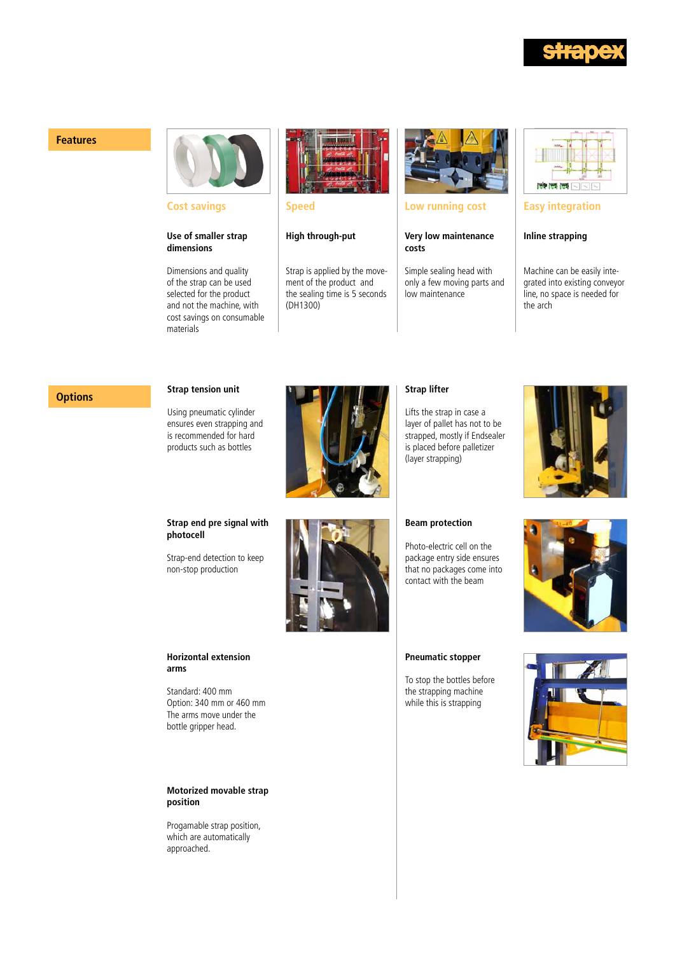

### **Features**



**Cost savings**

#### **Use of smaller strap dimensions**

Dimensions and quality of the strap can be used selected for the product and not the machine, with cost savings on consumable materials



**Speed**

**High through-put**

Strap is applied by the movement of the product and the sealing time is 5 seconds (DH1300)



### **Low running cost**

**Very low maintenance costs**

Simple sealing head with only a few moving parts and low maintenance



#### **Easy integration**

#### **Inline strapping**

Machine can be easily integrated into existing conveyor line, no space is needed for the arch

## **Options Strap tension unit**

Using pneumatic cylinder ensures even strapping and is recommended for hard products such as bottles



## **Strap lifter**

Lifts the strap in case a layer of pallet has not to be strapped, mostly if Endsealer is placed before palletizer (layer strapping)



#### **Strap end pre signal with photocell**

Strap-end detection to keep non-stop production



#### **Beam protection**

Photo-electric cell on the package entry side ensures that no packages come into contact with the beam



#### **Horizontal extension arms**

Standard: 400 mm Option: 340 mm or 460 mm The arms move under the bottle gripper head.

#### **Motorized movable strap position**

Progamable strap position, which are automatically approached.

#### **Pneumatic stopper**

To stop the bottles before the strapping machine while this is strapping